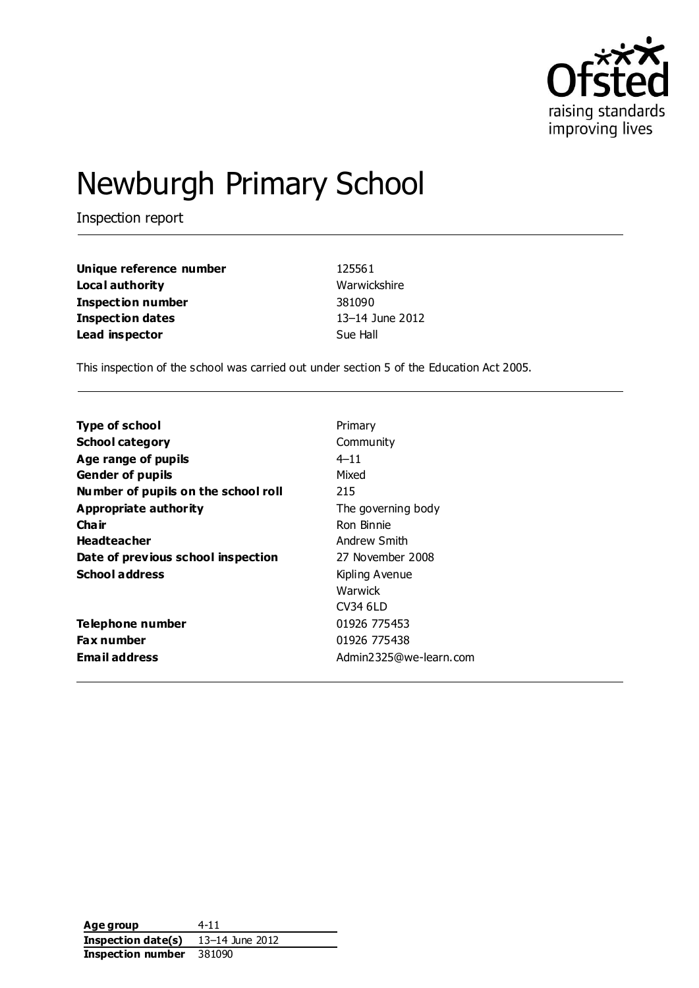

# Newburgh Primary School

Inspection report

| Unique reference number | 125561          |
|-------------------------|-----------------|
| Local authority         | Warwickshire    |
| Inspection number       | 381090          |
| Inspection dates        | 13–14 June 2012 |
| Lead inspector          | Sue Hall        |

This inspection of the school was carried out under section 5 of the Education Act 2005.

| <b>Type of school</b>               | Primary                |
|-------------------------------------|------------------------|
| <b>School category</b>              | Community              |
| Age range of pupils                 | $4 - 11$               |
| <b>Gender of pupils</b>             | Mixed                  |
| Number of pupils on the school roll | 215                    |
| <b>Appropriate authority</b>        | The governing body     |
| Cha ir                              | Ron Binnie             |
| <b>Headteacher</b>                  | Andrew Smith           |
| Date of previous school inspection  | 27 November 2008       |
| <b>School address</b>               | Kipling Avenue         |
|                                     | Warwick                |
|                                     | CV34 6LD               |
| Telephone number                    | 01926 775453           |
| <b>Fax number</b>                   | 01926 775438           |
| <b>Email address</b>                | Admin2325@we-learn.com |

Age group 4-11 **Inspection date(s)** 13–14 June 2012 **Inspection number** 381090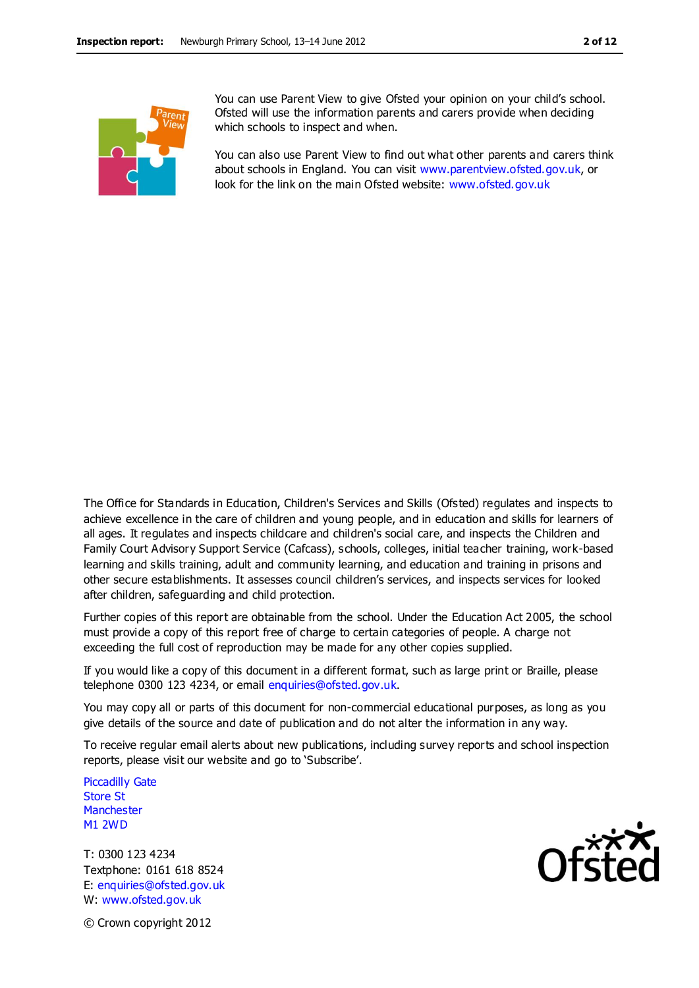

You can use Parent View to give Ofsted your opinion on your child's school. Ofsted will use the information parents and carers provide when deciding which schools to inspect and when.

You can also use Parent View to find out what other parents and carers think about schools in England. You can visit [www.parentview.ofsted.gov.uk,](http://www.parentview.ofsted.gov.uk/) or look for the link on the main Ofsted website: [www.ofsted.gov.uk](http://www.ofsted.gov.uk/)

The Office for Standards in Education, Children's Services and Skills (Ofsted) regulates and inspects to achieve excellence in the care of children and young people, and in education and skills for learners of all ages. It regulates and inspects childcare and children's social care, and inspects the Children and Family Court Advisory Support Service (Cafcass), schools, colleges, initial teacher training, work-based learning and skills training, adult and community learning, and education and training in prisons and other secure establishments. It assesses council children's services, and inspects services for looked after children, safeguarding and child protection.

Further copies of this report are obtainable from the school. Under the Education Act 2005, the school must provide a copy of this report free of charge to certain categories of people. A charge not exceeding the full cost of reproduction may be made for any other copies supplied.

If you would like a copy of this document in a different format, such as large print or Braille, please telephone 0300 123 4234, or email enquiries@ofsted.gov.uk.

You may copy all or parts of this document for non-commercial educational purposes, as long as you give details of the source and date of publication and do not alter the information in any way.

To receive regular email alerts about new publications, including survey reports and school inspection reports, please visit our website and go to 'Subscribe'.

Piccadilly Gate Store St **Manchester** M1 2WD

T: 0300 123 4234 Textphone: 0161 618 8524 E: enquiries@ofsted.gov.uk W: www.ofsted.gov.uk



© Crown copyright 2012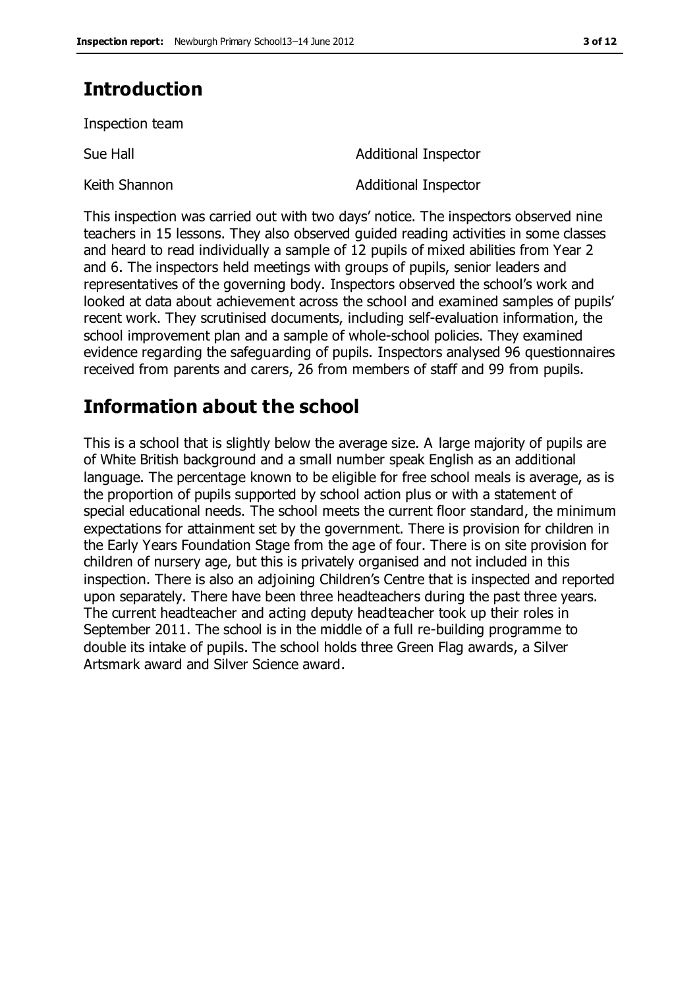### **Introduction**

Inspection team

Sue Hall **Additional Inspector** Keith Shannon **Additional Inspector** 

This inspection was carried out with two days' notice. The inspectors observed nine teachers in 15 lessons. They also observed guided reading activities in some classes and heard to read individually a sample of 12 pupils of mixed abilities from Year 2 and 6. The inspectors held meetings with groups of pupils, senior leaders and representatives of the governing body. Inspectors observed the school's work and looked at data about achievement across the school and examined samples of pupils' recent work. They scrutinised documents, including self-evaluation information, the school improvement plan and a sample of whole-school policies. They examined evidence regarding the safeguarding of pupils. Inspectors analysed 96 questionnaires received from parents and carers, 26 from members of staff and 99 from pupils.

### **Information about the school**

This is a school that is slightly below the average size. A large majority of pupils are of White British background and a small number speak English as an additional language. The percentage known to be eligible for free school meals is average, as is the proportion of pupils supported by school action plus or with a statement of special educational needs. The school meets the current floor standard, the minimum expectations for attainment set by the government. There is provision for children in the Early Years Foundation Stage from the age of four. There is on site provision for children of nursery age, but this is privately organised and not included in this inspection. There is also an adjoining Children's Centre that is inspected and reported upon separately. There have been three headteachers during the past three years. The current headteacher and acting deputy headteacher took up their roles in September 2011. The school is in the middle of a full re-building programme to double its intake of pupils. The school holds three Green Flag awards, a Silver Artsmark award and Silver Science award.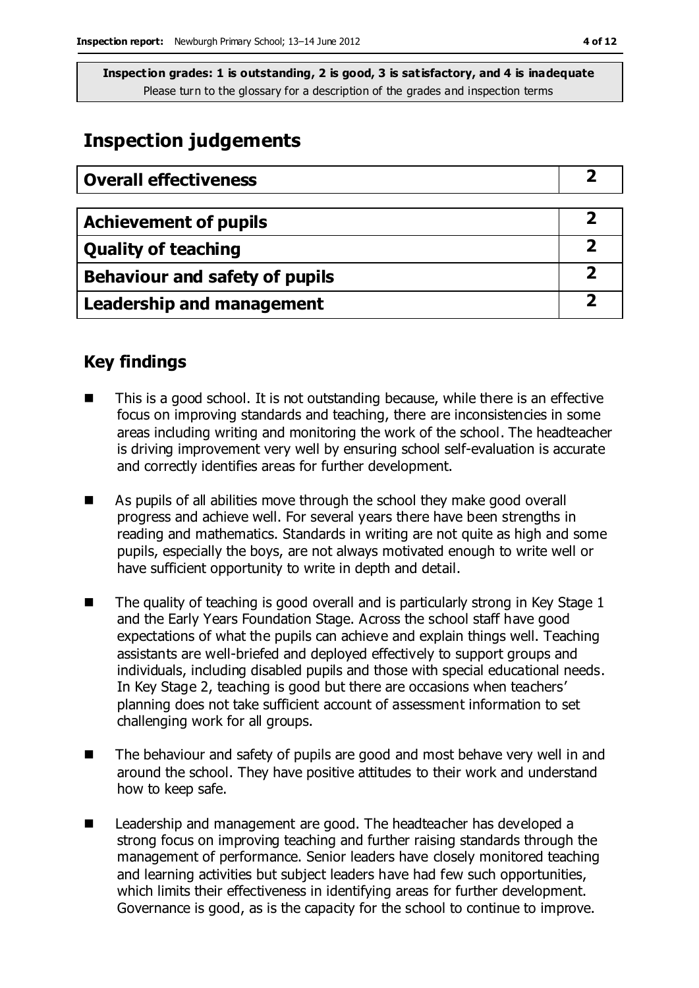### **Inspection judgements**

| <b>Overall effectiveness</b>     |  |
|----------------------------------|--|
|                                  |  |
| <b>Achievement of pupils</b>     |  |
| <b>Quality of teaching</b>       |  |
| Behaviour and safety of pupils   |  |
| <b>Leadership and management</b> |  |

### **Key findings**

- This is a good school. It is not outstanding because, while there is an effective focus on improving standards and teaching, there are inconsistencies in some areas including writing and monitoring the work of the school. The headteacher is driving improvement very well by ensuring school self-evaluation is accurate and correctly identifies areas for further development.
- As pupils of all abilities move through the school they make good overall progress and achieve well. For several years there have been strengths in reading and mathematics. Standards in writing are not quite as high and some pupils, especially the boys, are not always motivated enough to write well or have sufficient opportunity to write in depth and detail.
- The quality of teaching is good overall and is particularly strong in Key Stage 1 and the Early Years Foundation Stage. Across the school staff have good expectations of what the pupils can achieve and explain things well. Teaching assistants are well-briefed and deployed effectively to support groups and individuals, including disabled pupils and those with special educational needs. In Key Stage 2, teaching is good but there are occasions when teachers' planning does not take sufficient account of assessment information to set challenging work for all groups.
- The behaviour and safety of pupils are good and most behave very well in and around the school. They have positive attitudes to their work and understand how to keep safe.
- Leadership and management are good. The headteacher has developed a strong focus on improving teaching and further raising standards through the management of performance. Senior leaders have closely monitored teaching and learning activities but subject leaders have had few such opportunities, which limits their effectiveness in identifying areas for further development. Governance is good, as is the capacity for the school to continue to improve.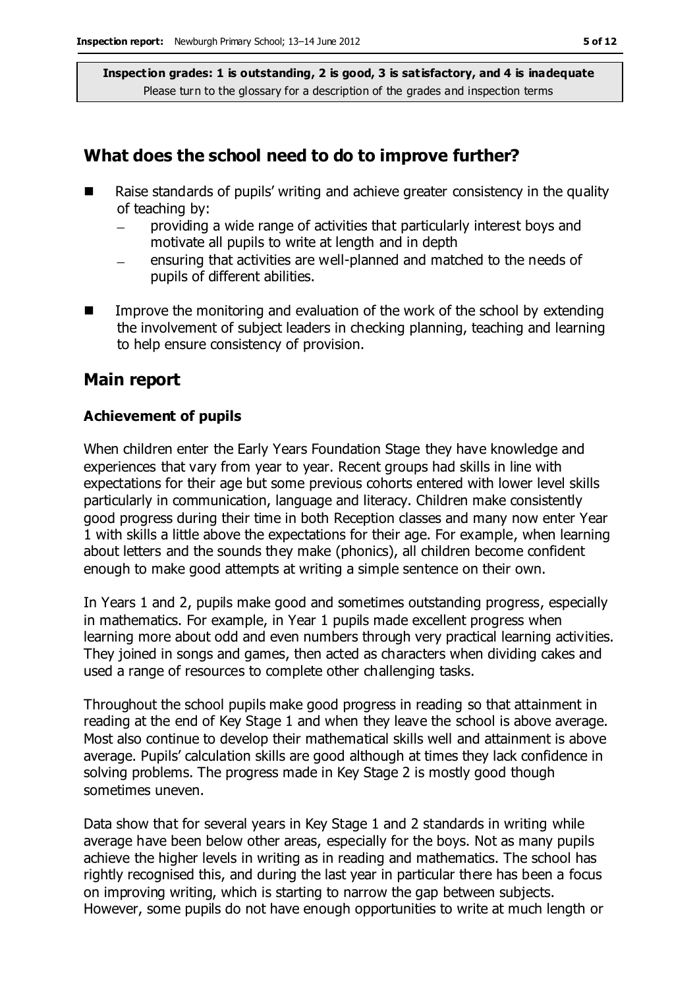#### **What does the school need to do to improve further?**

- Raise standards of pupils' writing and achieve greater consistency in the quality of teaching by:
	- providing a wide range of activities that particularly interest boys and  $\equiv$ motivate all pupils to write at length and in depth
	- ensuring that activities are well-planned and matched to the needs of pupils of different abilities.
- $\blacksquare$  Improve the monitoring and evaluation of the work of the school by extending the involvement of subject leaders in checking planning, teaching and learning to help ensure consistency of provision.

#### **Main report**

#### **Achievement of pupils**

When children enter the Early Years Foundation Stage they have knowledge and experiences that vary from year to year. Recent groups had skills in line with expectations for their age but some previous cohorts entered with lower level skills particularly in communication, language and literacy. Children make consistently good progress during their time in both Reception classes and many now enter Year 1 with skills a little above the expectations for their age. For example, when learning about letters and the sounds they make (phonics), all children become confident enough to make good attempts at writing a simple sentence on their own.

In Years 1 and 2, pupils make good and sometimes outstanding progress, especially in mathematics. For example, in Year 1 pupils made excellent progress when learning more about odd and even numbers through very practical learning activities. They joined in songs and games, then acted as characters when dividing cakes and used a range of resources to complete other challenging tasks.

Throughout the school pupils make good progress in reading so that attainment in reading at the end of Key Stage 1 and when they leave the school is above average. Most also continue to develop their mathematical skills well and attainment is above average. Pupils' calculation skills are good although at times they lack confidence in solving problems. The progress made in Key Stage 2 is mostly good though sometimes uneven.

Data show that for several years in Key Stage 1 and 2 standards in writing while average have been below other areas, especially for the boys. Not as many pupils achieve the higher levels in writing as in reading and mathematics. The school has rightly recognised this, and during the last year in particular there has been a focus on improving writing, which is starting to narrow the gap between subjects. However, some pupils do not have enough opportunities to write at much length or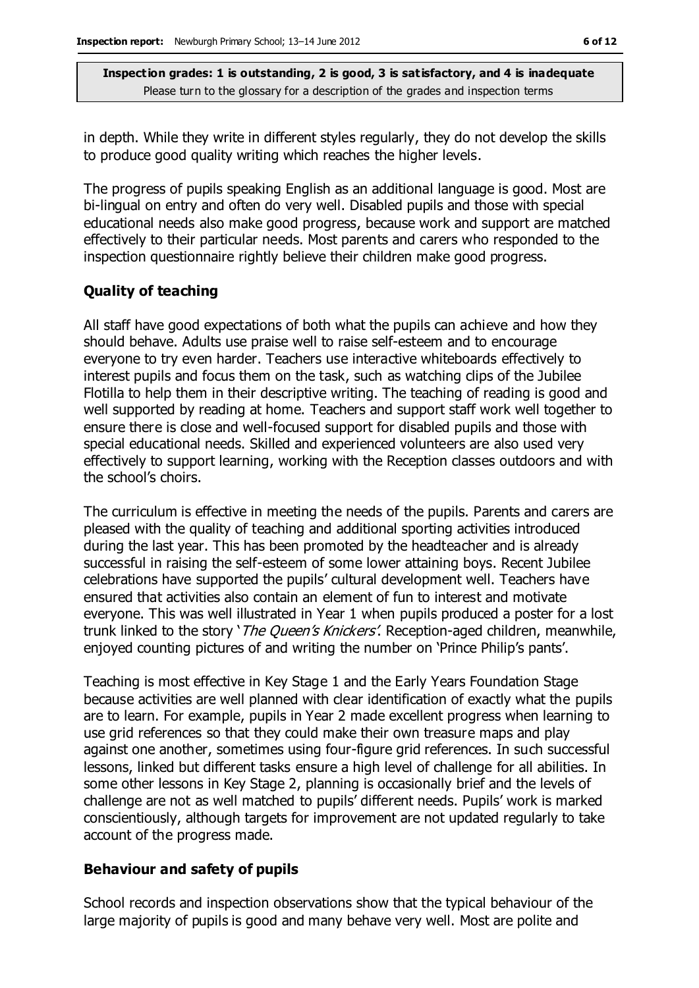in depth. While they write in different styles regularly, they do not develop the skills to produce good quality writing which reaches the higher levels.

The progress of pupils speaking English as an additional language is good. Most are bi-lingual on entry and often do very well. Disabled pupils and those with special educational needs also make good progress, because work and support are matched effectively to their particular needs. Most parents and carers who responded to the inspection questionnaire rightly believe their children make good progress.

#### **Quality of teaching**

All staff have good expectations of both what the pupils can achieve and how they should behave. Adults use praise well to raise self-esteem and to encourage everyone to try even harder. Teachers use interactive whiteboards effectively to interest pupils and focus them on the task, such as watching clips of the Jubilee Flotilla to help them in their descriptive writing. The teaching of reading is good and well supported by reading at home. Teachers and support staff work well together to ensure there is close and well-focused support for disabled pupils and those with special educational needs. Skilled and experienced volunteers are also used very effectively to support learning, working with the Reception classes outdoors and with the school's choirs.

The curriculum is effective in meeting the needs of the pupils. Parents and carers are pleased with the quality of teaching and additional sporting activities introduced during the last year. This has been promoted by the headteacher and is already successful in raising the self-esteem of some lower attaining boys. Recent Jubilee celebrations have supported the pupils' cultural development well. Teachers have ensured that activities also contain an element of fun to interest and motivate everyone. This was well illustrated in Year 1 when pupils produced a poster for a lost trunk linked to the story '*The Queen's Knickers'*. Reception-aged children, meanwhile, enjoyed counting pictures of and writing the number on 'Prince Philip's pants'.

Teaching is most effective in Key Stage 1 and the Early Years Foundation Stage because activities are well planned with clear identification of exactly what the pupils are to learn. For example, pupils in Year 2 made excellent progress when learning to use grid references so that they could make their own treasure maps and play against one another, sometimes using four-figure grid references. In such successful lessons, linked but different tasks ensure a high level of challenge for all abilities. In some other lessons in Key Stage 2, planning is occasionally brief and the levels of challenge are not as well matched to pupils' different needs. Pupils' work is marked conscientiously, although targets for improvement are not updated regularly to take account of the progress made.

#### **Behaviour and safety of pupils**

School records and inspection observations show that the typical behaviour of the large majority of pupils is good and many behave very well. Most are polite and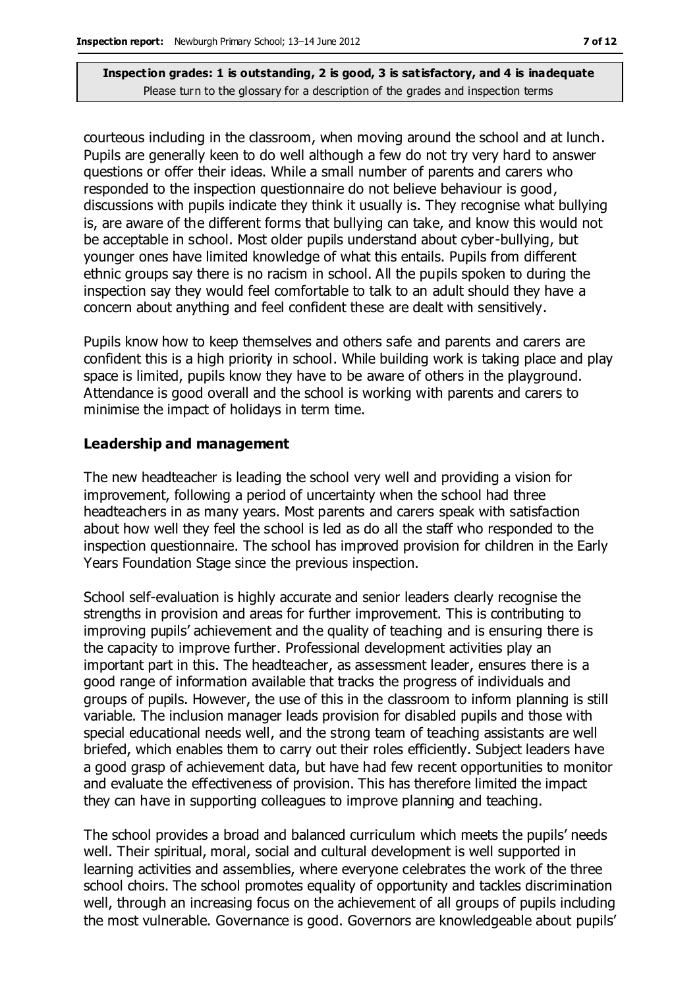courteous including in the classroom, when moving around the school and at lunch. Pupils are generally keen to do well although a few do not try very hard to answer questions or offer their ideas. While a small number of parents and carers who responded to the inspection questionnaire do not believe behaviour is good, discussions with pupils indicate they think it usually is. They recognise what bullying is, are aware of the different forms that bullying can take, and know this would not be acceptable in school. Most older pupils understand about cyber-bullying, but younger ones have limited knowledge of what this entails. Pupils from different ethnic groups say there is no racism in school. All the pupils spoken to during the inspection say they would feel comfortable to talk to an adult should they have a concern about anything and feel confident these are dealt with sensitively.

Pupils know how to keep themselves and others safe and parents and carers are confident this is a high priority in school. While building work is taking place and play space is limited, pupils know they have to be aware of others in the playground. Attendance is good overall and the school is working with parents and carers to minimise the impact of holidays in term time.

#### **Leadership and management**

The new headteacher is leading the school very well and providing a vision for improvement, following a period of uncertainty when the school had three headteachers in as many years. Most parents and carers speak with satisfaction about how well they feel the school is led as do all the staff who responded to the inspection questionnaire. The school has improved provision for children in the Early Years Foundation Stage since the previous inspection.

School self-evaluation is highly accurate and senior leaders clearly recognise the strengths in provision and areas for further improvement. This is contributing to improving pupils' achievement and the quality of teaching and is ensuring there is the capacity to improve further. Professional development activities play an important part in this. The headteacher, as assessment leader, ensures there is a good range of information available that tracks the progress of individuals and groups of pupils. However, the use of this in the classroom to inform planning is still variable. The inclusion manager leads provision for disabled pupils and those with special educational needs well, and the strong team of teaching assistants are well briefed, which enables them to carry out their roles efficiently. Subject leaders have a good grasp of achievement data, but have had few recent opportunities to monitor and evaluate the effectiveness of provision. This has therefore limited the impact they can have in supporting colleagues to improve planning and teaching.

The school provides a broad and balanced curriculum which meets the pupils' needs well. Their spiritual, moral, social and cultural development is well supported in learning activities and assemblies, where everyone celebrates the work of the three school choirs. The school promotes equality of opportunity and tackles discrimination well, through an increasing focus on the achievement of all groups of pupils including the most vulnerable. Governance is good. Governors are knowledgeable about pupils'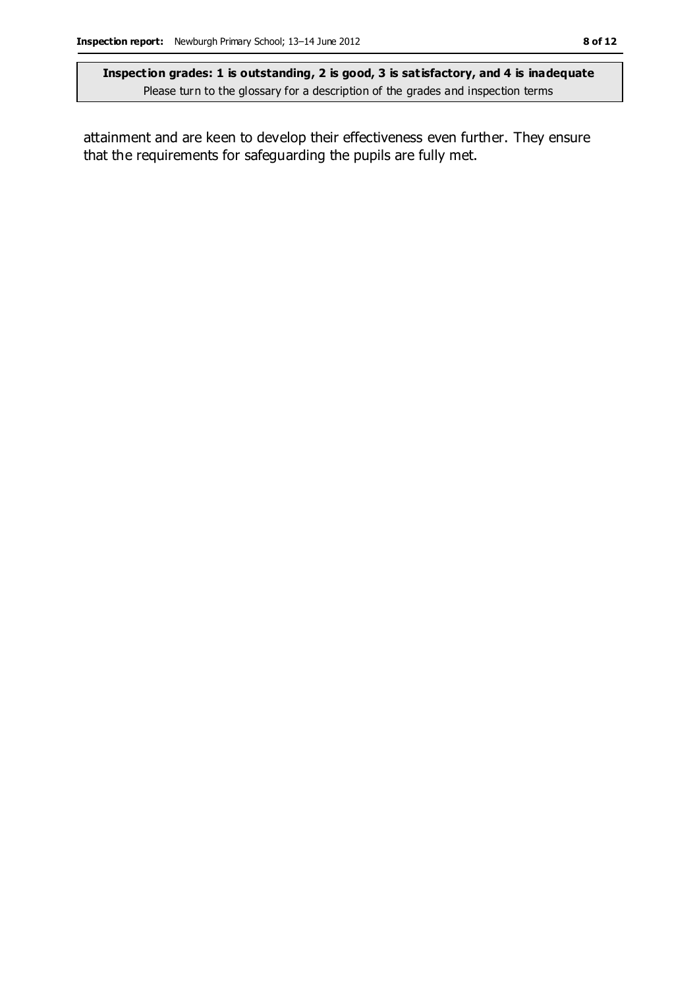attainment and are keen to develop their effectiveness even further. They ensure that the requirements for safeguarding the pupils are fully met.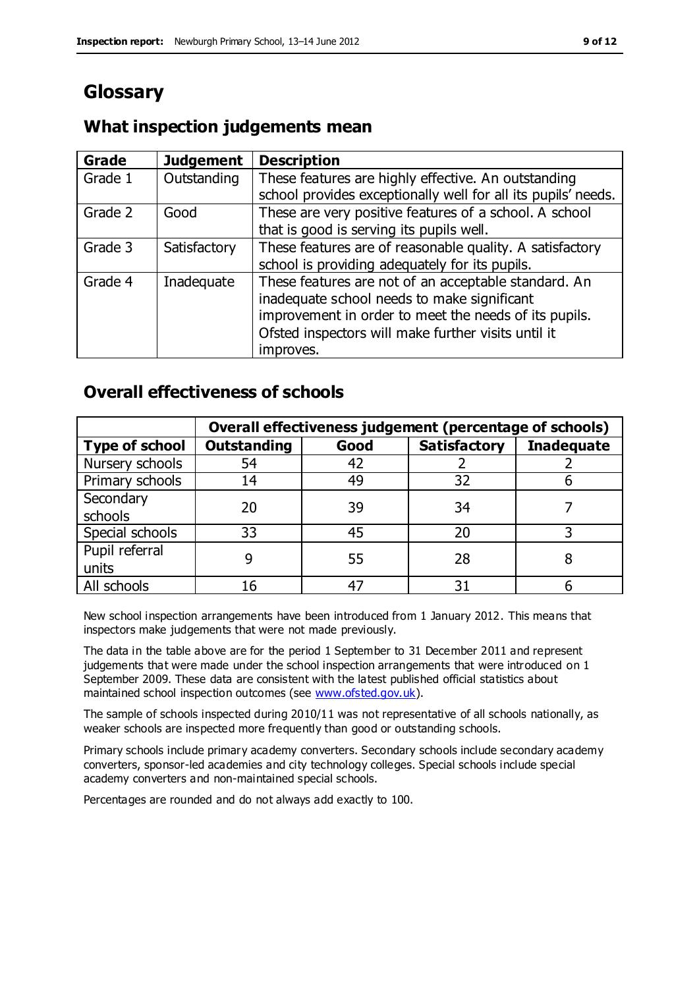### **Glossary**

#### **What inspection judgements mean**

| <b>Grade</b> | <b>Judgement</b> | <b>Description</b>                                            |
|--------------|------------------|---------------------------------------------------------------|
| Grade 1      | Outstanding      | These features are highly effective. An outstanding           |
|              |                  | school provides exceptionally well for all its pupils' needs. |
| Grade 2      | Good             | These are very positive features of a school. A school        |
|              |                  | that is good is serving its pupils well.                      |
| Grade 3      | Satisfactory     | These features are of reasonable quality. A satisfactory      |
|              |                  | school is providing adequately for its pupils.                |
| Grade 4      | Inadequate       | These features are not of an acceptable standard. An          |
|              |                  | inadequate school needs to make significant                   |
|              |                  | improvement in order to meet the needs of its pupils.         |
|              |                  | Ofsted inspectors will make further visits until it           |
|              |                  | improves.                                                     |

#### **Overall effectiveness of schools**

|                       | Overall effectiveness judgement (percentage of schools) |      |                     |                   |
|-----------------------|---------------------------------------------------------|------|---------------------|-------------------|
| <b>Type of school</b> | <b>Outstanding</b>                                      | Good | <b>Satisfactory</b> | <b>Inadequate</b> |
| Nursery schools       | 54                                                      | 42   |                     |                   |
| Primary schools       | 14                                                      | 49   | 32                  |                   |
| Secondary             | 20                                                      | 39   | 34                  |                   |
| schools               |                                                         |      |                     |                   |
| Special schools       | 33                                                      | 45   | 20                  |                   |
| Pupil referral        |                                                         | 55   | 28                  |                   |
| units                 |                                                         |      |                     |                   |
| All schools           | 16                                                      | 47   | 31                  |                   |

New school inspection arrangements have been introduced from 1 January 2012. This means that inspectors make judgements that were not made previously.

The data in the table above are for the period 1 September to 31 December 2011 and represent judgements that were made under the school inspection arrangements that were introduced on 1 September 2009. These data are consistent with the latest published official statistics about maintained school inspection outcomes (see [www.ofsted.gov.uk\)](http://www.ofsted.gov.uk/).

The sample of schools inspected during 2010/11 was not representative of all schools nationally, as weaker schools are inspected more frequently than good or outstanding schools.

Primary schools include primary academy converters. Secondary schools include secondary academy converters, sponsor-led academies and city technology colleges. Special schools include special academy converters and non-maintained special schools.

Percentages are rounded and do not always add exactly to 100.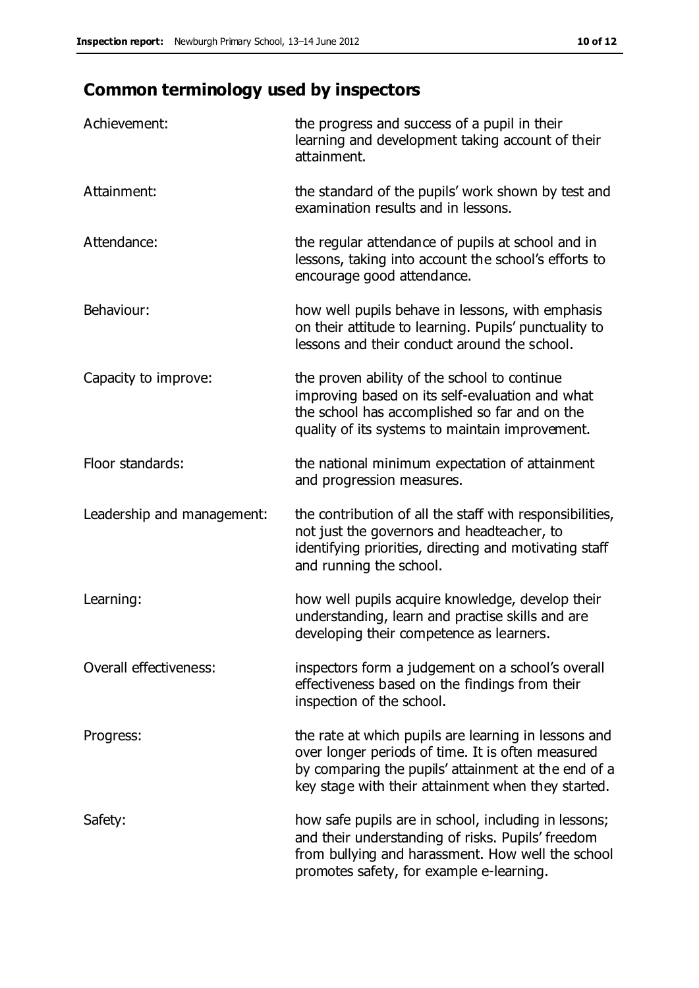## **Common terminology used by inspectors**

| Achievement:                  | the progress and success of a pupil in their<br>learning and development taking account of their<br>attainment.                                                                                                        |
|-------------------------------|------------------------------------------------------------------------------------------------------------------------------------------------------------------------------------------------------------------------|
| Attainment:                   | the standard of the pupils' work shown by test and<br>examination results and in lessons.                                                                                                                              |
| Attendance:                   | the regular attendance of pupils at school and in<br>lessons, taking into account the school's efforts to<br>encourage good attendance.                                                                                |
| Behaviour:                    | how well pupils behave in lessons, with emphasis<br>on their attitude to learning. Pupils' punctuality to<br>lessons and their conduct around the school.                                                              |
| Capacity to improve:          | the proven ability of the school to continue<br>improving based on its self-evaluation and what<br>the school has accomplished so far and on the<br>quality of its systems to maintain improvement.                    |
| Floor standards:              | the national minimum expectation of attainment<br>and progression measures.                                                                                                                                            |
| Leadership and management:    | the contribution of all the staff with responsibilities,<br>not just the governors and headteacher, to<br>identifying priorities, directing and motivating staff<br>and running the school.                            |
| Learning:                     | how well pupils acquire knowledge, develop their<br>understanding, learn and practise skills and are<br>developing their competence as learners.                                                                       |
| <b>Overall effectiveness:</b> | inspectors form a judgement on a school's overall<br>effectiveness based on the findings from their<br>inspection of the school.                                                                                       |
| Progress:                     | the rate at which pupils are learning in lessons and<br>over longer periods of time. It is often measured<br>by comparing the pupils' attainment at the end of a<br>key stage with their attainment when they started. |
| Safety:                       | how safe pupils are in school, including in lessons;<br>and their understanding of risks. Pupils' freedom<br>from bullying and harassment. How well the school<br>promotes safety, for example e-learning.             |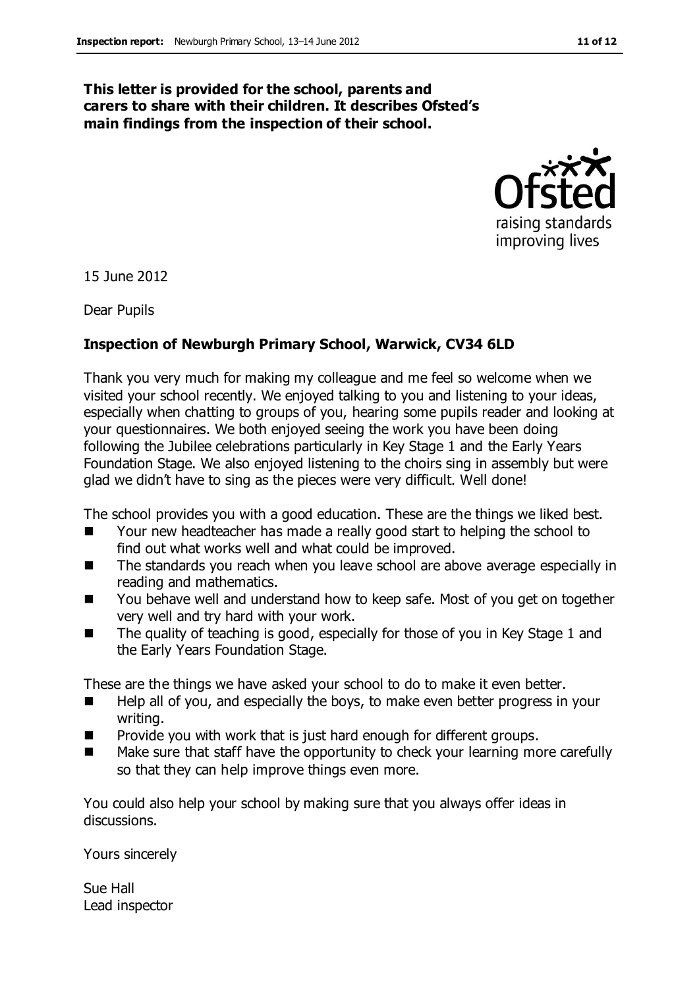#### **This letter is provided for the school, parents and carers to share with their children. It describes Ofsted's main findings from the inspection of their school.**



15 June 2012

Dear Pupils

#### **Inspection of Newburgh Primary School, Warwick, CV34 6LD**

Thank you very much for making my colleague and me feel so welcome when we visited your school recently. We enjoyed talking to you and listening to your ideas, especially when chatting to groups of you, hearing some pupils reader and looking at your questionnaires. We both enjoyed seeing the work you have been doing following the Jubilee celebrations particularly in Key Stage 1 and the Early Years Foundation Stage. We also enjoyed listening to the choirs sing in assembly but were glad we didn't have to sing as the pieces were very difficult. Well done!

The school provides you with a good education. These are the things we liked best.

- Your new headteacher has made a really good start to helping the school to find out what works well and what could be improved.
- The standards you reach when you leave school are above average especially in reading and mathematics.
- You behave well and understand how to keep safe. Most of you get on together very well and try hard with your work.
- The quality of teaching is good, especially for those of you in Key Stage 1 and the Early Years Foundation Stage.

These are the things we have asked your school to do to make it even better.

- Help all of you, and especially the boys, to make even better progress in your writing.
- Provide you with work that is just hard enough for different groups.
- Make sure that staff have the opportunity to check your learning more carefully so that they can help improve things even more.

You could also help your school by making sure that you always offer ideas in discussions.

Yours sincerely

Sue Hall Lead inspector